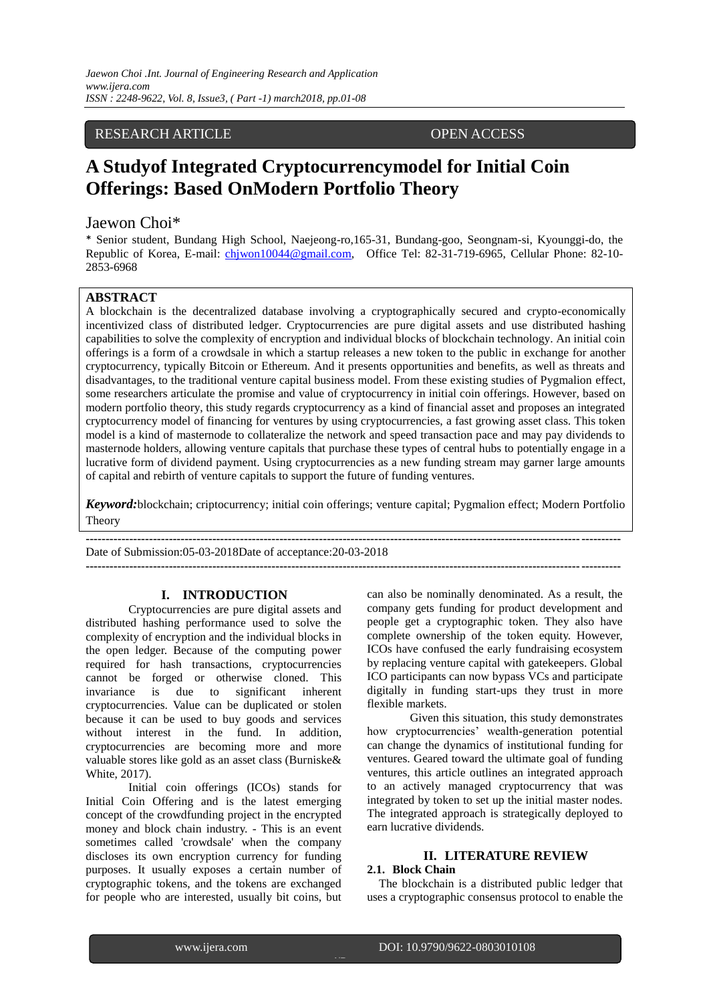### RESEARCH ARTICLE OPEN ACCESS

# **A Studyof Integrated Cryptocurrencymodel for Initial Coin Offerings: Based OnModern Portfolio Theory**

## Jaewon Choi\*

\* Senior student, Bundang High School, Naejeong-ro,165-31, Bundang-goo, Seongnam-si, Kyounggi-do, the Republic of Korea, E-mail: [chjwon10044@gmail.com,](mailto:chjwon10044@gmail.com) Office Tel: 82-31-719-6965, Cellular Phone: 82-10- 2853-6968

#### **ABSTRACT**

A blockchain is the decentralized database involving a cryptographically secured and crypto-economically incentivized class of distributed ledger. Cryptocurrencies are pure digital assets and use distributed hashing capabilities to solve the complexity of encryption and individual blocks of blockchain technology. An initial coin offerings is a form of a crowdsale in which a startup releases a new token to the public in exchange for another cryptocurrency, typically Bitcoin or Ethereum. And it presents opportunities and benefits, as well as threats and disadvantages, to the traditional venture capital business model. From these existing studies of Pygmalion effect, some researchers articulate the promise and value of cryptocurrency in initial coin offerings. However, based on modern portfolio theory, this study regards cryptocurrency as a kind of financial asset and proposes an integrated cryptocurrency model of financing for ventures by using cryptocurrencies, a fast growing asset class. This token model is a kind of masternode to collateralize the network and speed transaction pace and may pay dividends to masternode holders, allowing venture capitals that purchase these types of central hubs to potentially engage in a lucrative form of dividend payment. Using cryptocurrencies as a new funding stream may garner large amounts of capital and rebirth of venture capitals to support the future of funding ventures.

*Keyword:*blockchain; criptocurrency; initial coin offerings; venture capital; Pygmalion effect; Modern Portfolio Theory

**---------------------------------------------------------------------------------------------------------------------------------------**

**---------------------------------------------------------------------------------------------------------------------------------------** Date of Submission:05-03-2018Date of acceptance:20-03-2018

#### **I. INTRODUCTION**

Cryptocurrencies are pure digital assets and distributed hashing performance used to solve the complexity of encryption and the individual blocks in the open ledger. Because of the computing power required for hash transactions, cryptocurrencies cannot be forged or otherwise cloned. This invariance is due to significant inherent cryptocurrencies. Value can be duplicated or stolen because it can be used to buy goods and services without interest in the fund. In addition. cryptocurrencies are becoming more and more valuable stores like gold as an asset class (Burniske& White, 2017).

Initial coin offerings (ICOs) stands for Initial Coin Offering and is the latest emerging concept of the crowdfunding project in the encrypted money and block chain industry. - This is an event sometimes called 'crowdsale' when the company discloses its own encryption currency for funding purposes. It usually exposes a certain number of cryptographic tokens, and the tokens are exchanged for people who are interested, usually bit coins, but

can also be nominally denominated. As a result, the company gets funding for product development and people get a cryptographic token. They also have complete ownership of the token equity. However, ICOs have confused the early fundraising ecosystem by replacing venture capital with gatekeepers. Global ICO participants can now bypass VCs and participate digitally in funding start-ups they trust in more flexible markets.

Given this situation, this study demonstrates how cryptocurrencies' wealth-generation potential can change the dynamics of institutional funding for ventures. Geared toward the ultimate goal of funding ventures, this article outlines an integrated approach to an actively managed cryptocurrency that was integrated by token to set up the initial master nodes. The integrated approach is strategically deployed to earn lucrative dividends.

# **II. LITERATURE REVIEW**

#### **2.1. Block Chain**

**1**|P a g e

The blockchain is a distributed public ledger that uses a cryptographic consensus protocol to enable the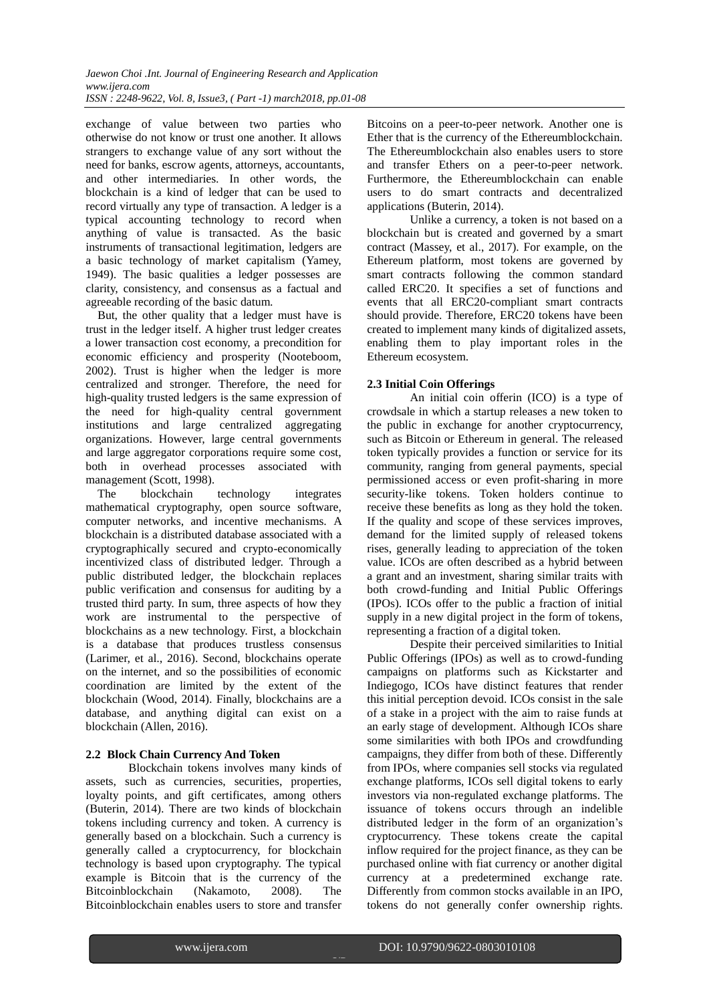exchange of value between two parties who otherwise do not know or trust one another. It allows strangers to exchange value of any sort without the need for banks, escrow agents, attorneys, accountants, and other intermediaries. In other words, the blockchain is a kind of ledger that can be used to record virtually any type of transaction. A ledger is a typical accounting technology to record when anything of value is transacted. As the basic instruments of transactional legitimation, ledgers are a basic technology of market capitalism (Yamey, 1949). The basic qualities a ledger possesses are clarity, consistency, and consensus as a factual and agreeable recording of the basic datum.

But, the other quality that a ledger must have is trust in the ledger itself. A higher trust ledger creates a lower transaction cost economy, a precondition for economic efficiency and prosperity (Nooteboom, 2002). Trust is higher when the ledger is more centralized and stronger. Therefore, the need for high-quality trusted ledgers is the same expression of the need for high-quality central government institutions and large centralized aggregating organizations. However, large central governments and large aggregator corporations require some cost, both in overhead processes associated with management (Scott, 1998).

The blockchain technology integrates mathematical cryptography, open source software, computer networks, and incentive mechanisms. A blockchain is a distributed database associated with a cryptographically secured and crypto-economically incentivized class of distributed ledger. Through a public distributed ledger, the blockchain replaces public verification and consensus for auditing by a trusted third party. In sum, three aspects of how they work are instrumental to the perspective of blockchains as a new technology. First, a blockchain is a database that produces trustless consensus (Larimer, et al., 2016). Second, blockchains operate on the internet, and so the possibilities of economic coordination are limited by the extent of the blockchain (Wood, 2014). Finally, blockchains are a database, and anything digital can exist on a blockchain (Allen, 2016).

### **2.2 Block Chain Currency And Token**

Blockchain tokens involves many kinds of assets, such as currencies, securities, properties, loyalty points, and gift certificates, among others (Buterin, 2014). There are two kinds of blockchain tokens including currency and token. A currency is generally based on a blockchain. Such a currency is generally called a cryptocurrency, for blockchain technology is based upon cryptography. The typical example is Bitcoin that is the currency of the Bitcoinblockchain (Nakamoto, 2008). The Bitcoinblockchain enables users to store and transfer

Bitcoins on a peer-to-peer network. Another one is Ether that is the currency of the Ethereumblockchain. The Ethereumblockchain also enables users to store and transfer Ethers on a peer-to-peer network. Furthermore, the Ethereumblockchain can enable users to do smart contracts and decentralized applications (Buterin, 2014).

Unlike a currency, a token is not based on a blockchain but is created and governed by a smart contract (Massey, et al., 2017). For example, on the Ethereum platform, most tokens are governed by smart contracts following the common standard called ERC20. It specifies a set of functions and events that all ERC20-compliant smart contracts should provide. Therefore, ERC20 tokens have been created to implement many kinds of digitalized assets, enabling them to play important roles in the Ethereum ecosystem.

#### **2.3 Initial Coin Offerings**

An initial coin offerin (ICO) is a type of crowdsale in which a startup releases a new token to the public in exchange for another cryptocurrency, such as Bitcoin or Ethereum in general. The released token typically provides a function or service for its community, ranging from general payments, special permissioned access or even profit-sharing in more security-like tokens. Token holders continue to receive these benefits as long as they hold the token. If the quality and scope of these services improves, demand for the limited supply of released tokens rises, generally leading to appreciation of the token value. ICOs are often described as a hybrid between a grant and an investment, sharing similar traits with both crowd-funding and Initial Public Offerings (IPOs). ICOs offer to the public a fraction of initial supply in a new digital project in the form of tokens, representing a fraction of a digital token.

Despite their perceived similarities to Initial Public Offerings (IPOs) as well as to crowd-funding campaigns on platforms such as Kickstarter and Indiegogo, ICOs have distinct features that render this initial perception devoid. ICOs consist in the sale of a stake in a project with the aim to raise funds at an early stage of development. Although ICOs share some similarities with both IPOs and crowdfunding campaigns, they differ from both of these. Differently from IPOs, where companies sell stocks via regulated exchange platforms, ICOs sell digital tokens to early investors via non-regulated exchange platforms. The issuance of tokens occurs through an indelible distributed ledger in the form of an organization's cryptocurrency. These tokens create the capital inflow required for the project finance, as they can be purchased online with fiat currency or another digital currency at a predetermined exchange rate. Differently from common stocks available in an IPO, tokens do not generally confer ownership rights.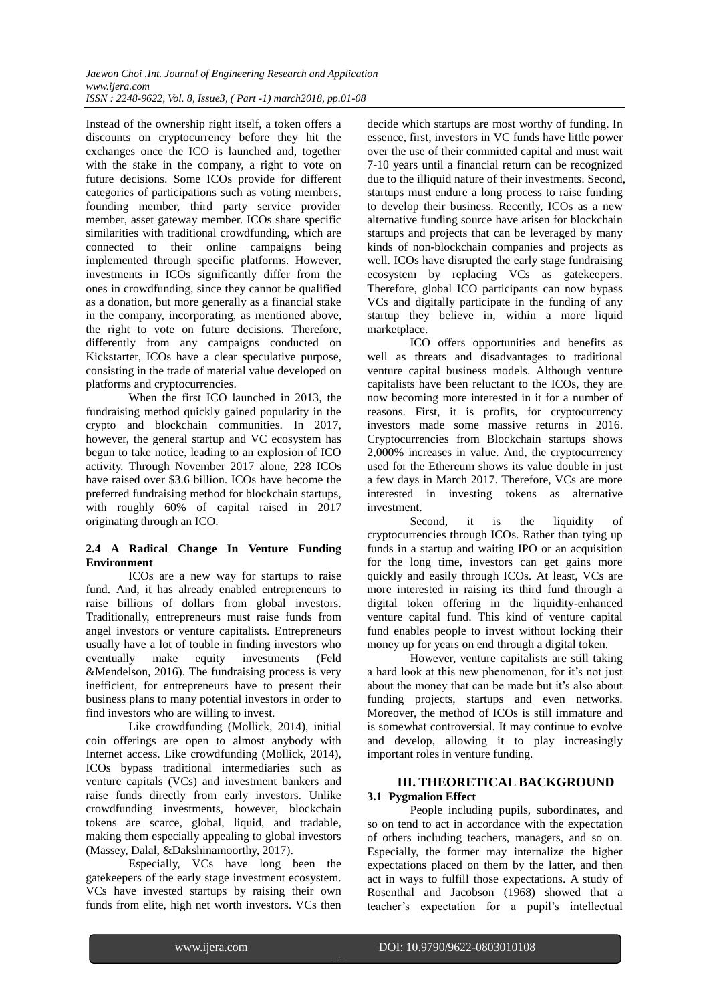Instead of the ownership right itself, a token offers a discounts on cryptocurrency before they hit the exchanges once the ICO is launched and, together with the stake in the company, a right to vote on future decisions. Some ICOs provide for different categories of participations such as voting members, founding member, third party service provider member, asset gateway member. ICOs share specific similarities with traditional crowdfunding, which are connected to their online campaigns being implemented through specific platforms. However, investments in ICOs significantly differ from the ones in crowdfunding, since they cannot be qualified as a donation, but more generally as a financial stake in the company, incorporating, as mentioned above, the right to vote on future decisions. Therefore, differently from any campaigns conducted on Kickstarter, ICOs have a clear speculative purpose, consisting in the trade of material value developed on platforms and cryptocurrencies.

When the first ICO launched in 2013, the fundraising method quickly gained popularity in the crypto and blockchain communities. In 2017, however, the general startup and VC ecosystem has begun to take notice, leading to an explosion of ICO activity. Through November 2017 alone, 228 ICOs have raised over \$3.6 billion. ICOs have become the preferred fundraising method for blockchain startups, with roughly 60% of capital raised in 2017 originating through an ICO.

#### **2.4 A Radical Change In Venture Funding Environment**

ICOs are a new way for startups to raise fund. And, it has already enabled entrepreneurs to raise billions of dollars from global investors. Traditionally, entrepreneurs must raise funds from angel investors or venture capitalists. Entrepreneurs usually have a lot of touble in finding investors who eventually make equity investments (Feld &Mendelson, 2016). The fundraising process is very inefficient, for entrepreneurs have to present their business plans to many potential investors in order to find investors who are willing to invest.

Like crowdfunding (Mollick, 2014), initial coin offerings are open to almost anybody with Internet access. Like crowdfunding (Mollick, 2014), ICOs bypass traditional intermediaries such as venture capitals (VCs) and investment bankers and raise funds directly from early investors. Unlike crowdfunding investments, however, blockchain tokens are scarce, global, liquid, and tradable, making them especially appealing to global investors (Massey, Dalal, &Dakshinamoorthy, 2017).

Especially, VCs have long been the gatekeepers of the early stage investment ecosystem. VCs have invested startups by raising their own funds from elite, high net worth investors. VCs then decide which startups are most worthy of funding. In essence, first, investors in VC funds have little power over the use of their committed capital and must wait 7-10 years until a financial return can be recognized due to the illiquid nature of their investments. Second, startups must endure a long process to raise funding to develop their business. Recently, ICOs as a new alternative funding source have arisen for blockchain startups and projects that can be leveraged by many kinds of non-blockchain companies and projects as well. ICOs have disrupted the early stage fundraising ecosystem by replacing VCs as gatekeepers. Therefore, global ICO participants can now bypass VCs and digitally participate in the funding of any startup they believe in, within a more liquid marketplace.

ICO offers opportunities and benefits as well as threats and disadvantages to traditional venture capital business models. Although venture capitalists have been reluctant to the ICOs, they are now becoming more interested in it for a number of reasons. First, it is profits, for cryptocurrency investors made some massive returns in 2016. Cryptocurrencies from Blockchain startups shows 2,000% increases in value. And, the cryptocurrency used for the Ethereum shows its value double in just a few days in March 2017. Therefore, VCs are more interested in investing tokens as alternative investment.

Second, it is the liquidity of cryptocurrencies through ICOs. Rather than tying up funds in a startup and waiting IPO or an acquisition for the long time, investors can get gains more quickly and easily through ICOs. At least, VCs are more interested in raising its third fund through a digital token offering in the liquidity-enhanced venture capital fund. This kind of venture capital fund enables people to invest without locking their money up for years on end through a digital token.

However, venture capitalists are still taking a hard look at this new phenomenon, for it's not just about the money that can be made but it's also about funding projects, startups and even networks. Moreover, the method of ICOs is still immature and is somewhat controversial. It may continue to evolve and develop, allowing it to play increasingly important roles in venture funding.

### **III. THEORETICAL BACKGROUND 3.1 Pygmalion Effect**

People including pupils, subordinates, and so on tend to act in accordance with the expectation of others including teachers, managers, and so on. Especially, the former may internalize the higher expectations placed on them by the latter, and then act in ways to fulfill those expectations. A study of Rosenthal and Jacobson (1968) showed that a teacher's expectation for a pupil's intellectual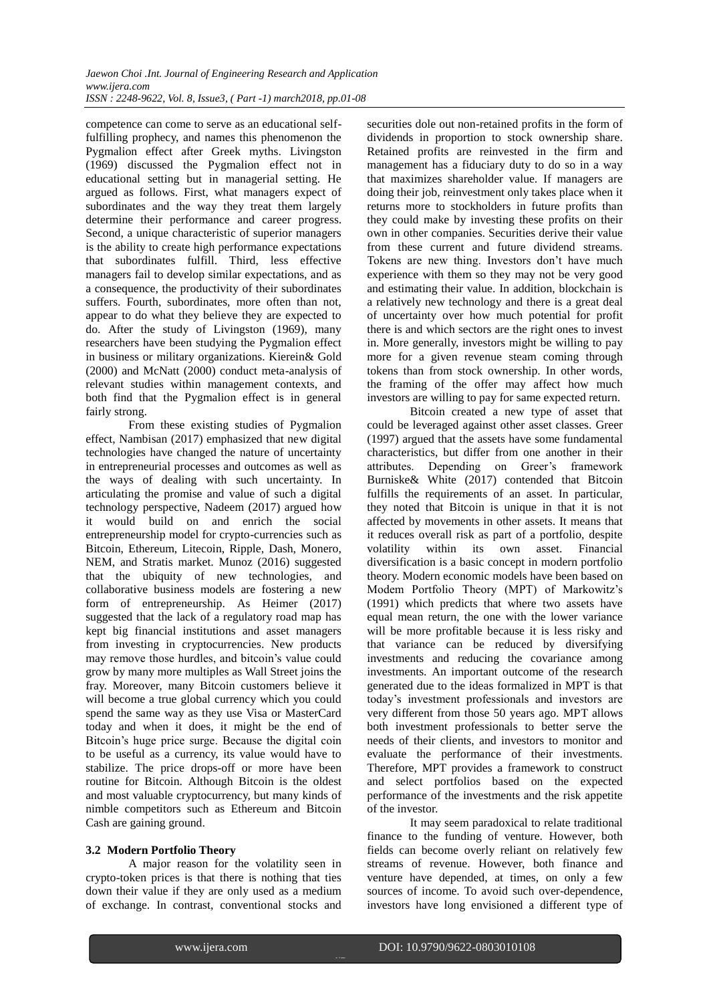competence can come to serve as an educational selffulfilling prophecy, and names this phenomenon the Pygmalion effect after Greek myths. Livingston (1969) discussed the Pygmalion effect not in educational setting but in managerial setting. He argued as follows. First, what managers expect of subordinates and the way they treat them largely determine their performance and career progress. Second, a unique characteristic of superior managers is the ability to create high performance expectations that subordinates fulfill. Third, less effective managers fail to develop similar expectations, and as a consequence, the productivity of their subordinates suffers. Fourth, subordinates, more often than not, appear to do what they believe they are expected to do. After the study of Livingston (1969), many researchers have been studying the Pygmalion effect in business or military organizations. Kierein& Gold (2000) and McNatt (2000) conduct meta-analysis of relevant studies within management contexts, and both find that the Pygmalion effect is in general fairly strong.

From these existing studies of Pygmalion effect, Nambisan (2017) emphasized that new digital technologies have changed the nature of uncertainty in entrepreneurial processes and outcomes as well as the ways of dealing with such uncertainty. In articulating the promise and value of such a digital technology perspective, Nadeem (2017) argued how it would build on and enrich the social entrepreneurship model for crypto-currencies such as Bitcoin, Ethereum, Litecoin, Ripple, Dash, Monero, NEM, and Stratis market. Munoz (2016) suggested that the ubiquity of new technologies, and collaborative business models are fostering a new form of entrepreneurship. As Heimer (2017) suggested that the lack of a regulatory road map has kept big financial institutions and asset managers from investing in cryptocurrencies. New products may remove those hurdles, and bitcoin"s value could grow by many more multiples as Wall Street joins the fray. Moreover, many Bitcoin customers believe it will become a true global currency which you could spend the same way as they use Visa or MasterCard today and when it does, it might be the end of Bitcoin"s huge price surge. Because the digital coin to be useful as a currency, its value would have to stabilize. The price drops-off or more have been routine for Bitcoin. Although Bitcoin is the oldest and most valuable cryptocurrency, but many kinds of nimble competitors such as Ethereum and Bitcoin Cash are gaining ground.

#### **3.2 Modern Portfolio Theory**

A major reason for the volatility seen in crypto-token prices is that there is nothing that ties down their value if they are only used as a medium of exchange. In contrast, conventional stocks and

securities dole out non-retained profits in the form of dividends in proportion to stock ownership share. Retained profits are reinvested in the firm and management has a fiduciary duty to do so in a way that maximizes shareholder value. If managers are doing their job, reinvestment only takes place when it returns more to stockholders in future profits than they could make by investing these profits on their own in other companies. Securities derive their value from these current and future dividend streams. Tokens are new thing. Investors don"t have much experience with them so they may not be very good and estimating their value. In addition, blockchain is a relatively new technology and there is a great deal of uncertainty over how much potential for profit there is and which sectors are the right ones to invest in. More generally, investors might be willing to pay more for a given revenue steam coming through tokens than from stock ownership. In other words, the framing of the offer may affect how much investors are willing to pay for same expected return.

Bitcoin created a new type of asset that could be leveraged against other asset classes. Greer (1997) argued that the assets have some fundamental characteristics, but differ from one another in their attributes. Depending on Greer"s framework Burniske& White (2017) contended that Bitcoin fulfills the requirements of an asset. In particular, they noted that Bitcoin is unique in that it is not affected by movements in other assets. It means that it reduces overall risk as part of a portfolio, despite volatility within its own asset. Financial diversification is a basic concept in modern portfolio theory. Modern economic models have been based on Modem Portfolio Theory (MPT) of Markowitz's (1991) which predicts that where two assets have equal mean return, the one with the lower variance will be more profitable because it is less risky and that variance can be reduced by diversifying investments and reducing the covariance among investments. An important outcome of the research generated due to the ideas formalized in MPT is that today"s investment professionals and investors are very different from those 50 years ago. MPT allows both investment professionals to better serve the needs of their clients, and investors to monitor and evaluate the performance of their investments. Therefore, MPT provides a framework to construct and select portfolios based on the expected performance of the investments and the risk appetite of the investor.

It may seem paradoxical to relate traditional finance to the funding of venture. However, both fields can become overly reliant on relatively few streams of revenue. However, both finance and venture have depended, at times, on only a few sources of income. To avoid such over-dependence, investors have long envisioned a different type of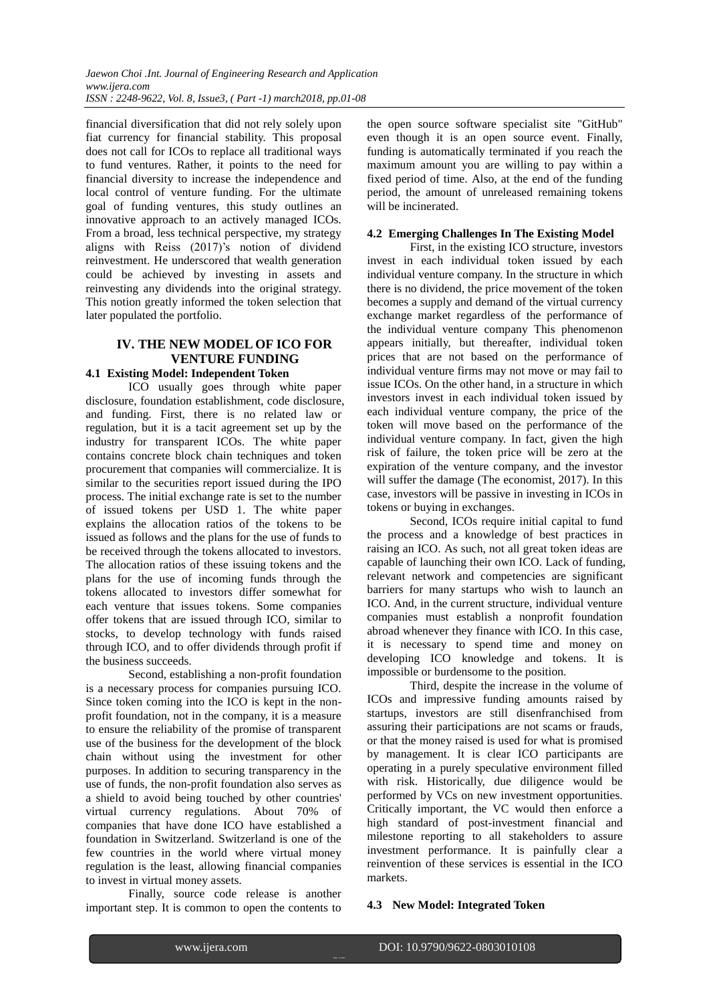financial diversification that did not rely solely upon fiat currency for financial stability. This proposal does not call for ICOs to replace all traditional ways to fund ventures. Rather, it points to the need for financial diversity to increase the independence and local control of venture funding. For the ultimate goal of funding ventures, this study outlines an innovative approach to an actively managed ICOs. From a broad, less technical perspective, my strategy aligns with Reiss (2017)'s notion of dividend reinvestment. He underscored that wealth generation could be achieved by investing in assets and reinvesting any dividends into the original strategy. This notion greatly informed the token selection that later populated the portfolio.

# **IV. THE NEW MODEL OF ICO FOR VENTURE FUNDING**

#### **4.1 Existing Model: Independent Token**

ICO usually goes through white paper disclosure, foundation establishment, code disclosure, and funding. First, there is no related law or regulation, but it is a tacit agreement set up by the industry for transparent ICOs. The white paper contains concrete block chain techniques and token procurement that companies will commercialize. It is similar to the securities report issued during the IPO process. The initial exchange rate is set to the number of issued tokens per USD 1. The white paper explains the allocation ratios of the tokens to be issued as follows and the plans for the use of funds to be received through the tokens allocated to investors. The allocation ratios of these issuing tokens and the plans for the use of incoming funds through the tokens allocated to investors differ somewhat for each venture that issues tokens. Some companies offer tokens that are issued through ICO, similar to stocks, to develop technology with funds raised through ICO, and to offer dividends through profit if the business succeeds.

Second, establishing a non-profit foundation is a necessary process for companies pursuing ICO. Since token coming into the ICO is kept in the nonprofit foundation, not in the company, it is a measure to ensure the reliability of the promise of transparent use of the business for the development of the block chain without using the investment for other purposes. In addition to securing transparency in the use of funds, the non-profit foundation also serves as a shield to avoid being touched by other countries' virtual currency regulations. About 70% of companies that have done ICO have established a foundation in Switzerland. Switzerland is one of the few countries in the world where virtual money regulation is the least, allowing financial companies to invest in virtual money assets.

Finally, source code release is another important step. It is common to open the contents to

the open source software specialist site "GitHub" even though it is an open source event. Finally, funding is automatically terminated if you reach the maximum amount you are willing to pay within a fixed period of time. Also, at the end of the funding period, the amount of unreleased remaining tokens will be incinerated.

#### **4.2 Emerging Challenges In The Existing Model**

First, in the existing ICO structure, investors invest in each individual token issued by each individual venture company. In the structure in which there is no dividend, the price movement of the token becomes a supply and demand of the virtual currency exchange market regardless of the performance of the individual venture company This phenomenon appears initially, but thereafter, individual token prices that are not based on the performance of individual venture firms may not move or may fail to issue ICOs. On the other hand, in a structure in which investors invest in each individual token issued by each individual venture company, the price of the token will move based on the performance of the individual venture company. In fact, given the high risk of failure, the token price will be zero at the expiration of the venture company, and the investor will suffer the damage (The economist, 2017). In this case, investors will be passive in investing in ICOs in tokens or buying in exchanges.

Second, ICOs require initial capital to fund the process and a knowledge of best practices in raising an ICO. As such, not all great token ideas are capable of launching their own ICO. Lack of funding, relevant network and competencies are significant barriers for many startups who wish to launch an ICO. And, in the current structure, individual venture companies must establish a nonprofit foundation abroad whenever they finance with ICO. In this case, it is necessary to spend time and money on developing ICO knowledge and tokens. It is impossible or burdensome to the position.

Third, despite the increase in the volume of ICOs and impressive funding amounts raised by startups, investors are still disenfranchised from assuring their participations are not scams or frauds, or that the money raised is used for what is promised by management. It is clear ICO participants are operating in a purely speculative environment filled with risk. Historically, due diligence would be performed by VCs on new investment opportunities. Critically important, the VC would then enforce a high standard of post-investment financial and milestone reporting to all stakeholders to assure investment performance. It is painfully clear a reinvention of these services is essential in the ICO markets.

#### **4.3 New Model: Integrated Token**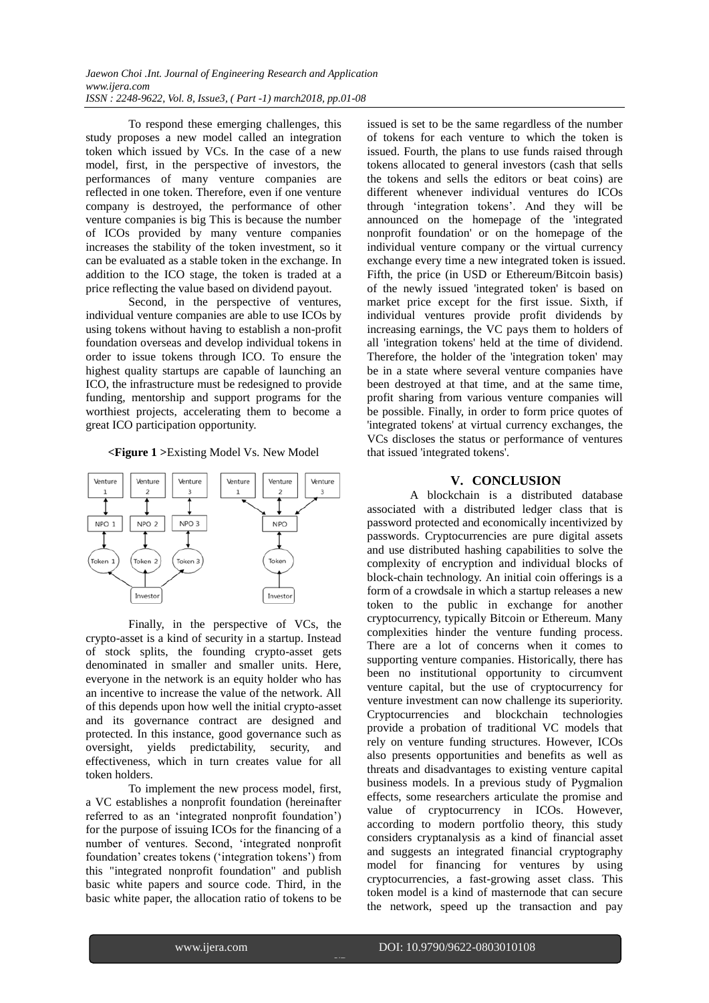*Jaewon Choi .Int. Journal of Engineering Research and Application www.ijera.com ISSN : 2248-9622, Vol. 8, Issue3, ( Part -1) march2018, pp.01-08*

To respond these emerging challenges, this study proposes a new model called an integration token which issued by VCs. In the case of a new model, first, in the perspective of investors, the performances of many venture companies are reflected in one token. Therefore, even if one venture company is destroyed, the performance of other venture companies is big This is because the number of ICOs provided by many venture companies increases the stability of the token investment, so it can be evaluated as a stable token in the exchange. In addition to the ICO stage, the token is traded at a price reflecting the value based on dividend payout.

Second, in the perspective of ventures, individual venture companies are able to use ICOs by using tokens without having to establish a non-profit foundation overseas and develop individual tokens in order to issue tokens through ICO. To ensure the highest quality startups are capable of launching an ICO, the infrastructure must be redesigned to provide funding, mentorship and support programs for the worthiest projects, accelerating them to become a great ICO participation opportunity.

#### **<Figure 1 >**Existing Model Vs. New Model



Finally, in the perspective of VCs, the crypto-asset is a kind of security in a startup. Instead of stock splits, the founding crypto-asset gets denominated in smaller and smaller units. Here, everyone in the network is an equity holder who has an incentive to increase the value of the network. All of this depends upon how well the initial crypto-asset and its governance contract are designed and protected. In this instance, good governance such as oversight, yields predictability, security, and effectiveness, which in turn creates value for all token holders.

To implement the new process model, first, a VC establishes a nonprofit foundation (hereinafter referred to as an "integrated nonprofit foundation") for the purpose of issuing ICOs for the financing of a number of ventures. Second, "integrated nonprofit foundation" creates tokens ("integration tokens") from this "integrated nonprofit foundation" and publish basic white papers and source code. Third, in the basic white paper, the allocation ratio of tokens to be issued is set to be the same regardless of the number of tokens for each venture to which the token is issued. Fourth, the plans to use funds raised through tokens allocated to general investors (cash that sells the tokens and sells the editors or beat coins) are different whenever individual ventures do ICOs through "integration tokens". And they will be announced on the homepage of the 'integrated nonprofit foundation' or on the homepage of the individual venture company or the virtual currency exchange every time a new integrated token is issued. Fifth, the price (in USD or Ethereum/Bitcoin basis) of the newly issued 'integrated token' is based on market price except for the first issue. Sixth, if individual ventures provide profit dividends by increasing earnings, the VC pays them to holders of all 'integration tokens' held at the time of dividend. Therefore, the holder of the 'integration token' may be in a state where several venture companies have been destroyed at that time, and at the same time, profit sharing from various venture companies will be possible. Finally, in order to form price quotes of 'integrated tokens' at virtual currency exchanges, the VCs discloses the status or performance of ventures that issued 'integrated tokens'.

#### **V. CONCLUSION**

A blockchain is a distributed database associated with a distributed ledger class that is password protected and economically incentivized by passwords. Cryptocurrencies are pure digital assets and use distributed hashing capabilities to solve the complexity of encryption and individual blocks of block-chain technology. An initial coin offerings is a form of a crowdsale in which a startup releases a new token to the public in exchange for another cryptocurrency, typically Bitcoin or Ethereum. Many complexities hinder the venture funding process. There are a lot of concerns when it comes to supporting venture companies. Historically, there has been no institutional opportunity to circumvent venture capital, but the use of cryptocurrency for venture investment can now challenge its superiority. Cryptocurrencies and blockchain technologies provide a probation of traditional VC models that rely on venture funding structures. However, ICOs also presents opportunities and benefits as well as threats and disadvantages to existing venture capital business models. In a previous study of Pygmalion effects, some researchers articulate the promise and value of cryptocurrency in ICOs. However, according to modern portfolio theory, this study considers cryptanalysis as a kind of financial asset and suggests an integrated financial cryptography model for financing for ventures by using cryptocurrencies, a fast-growing asset class. This token model is a kind of masternode that can secure the network, speed up the transaction and pay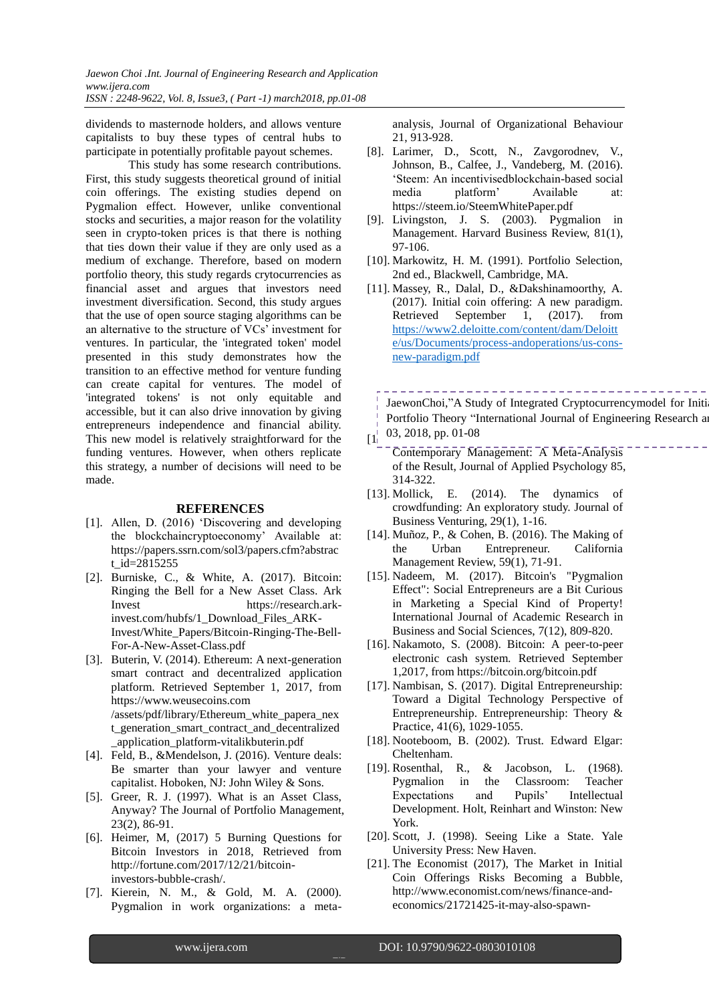dividends to masternode holders, and allows venture capitalists to buy these types of central hubs to participate in potentially profitable payout schemes.

This study has some research contributions. First, this study suggests theoretical ground of initial coin offerings. The existing studies depend on Pygmalion effect. However, unlike conventional stocks and securities, a major reason for the volatility seen in crypto-token prices is that there is nothing that ties down their value if they are only used as a medium of exchange. Therefore, based on modern portfolio theory, this study regards crytocurrencies as financial asset and argues that investors need investment diversification. Second, this study argues that the use of open source staging algorithms can be an alternative to the structure of VCs' investment for ventures. In particular, the 'integrated token' model presented in this study demonstrates how the transition to an effective method for venture funding can create capital for ventures. The model of 'integrated tokens' is not only equitable and accessible, but it can also drive innovation by giving entrepreneurs independence and financial ability. This new model is relatively straightforward for the funding ventures. However, when others replicate this strategy, a number of decisions will need to be made.

#### **REFERENCES**

- [1]. Allen, D. (2016) "Discovering and developing the blockchaincryptoeconomy" Available at: https://papers.ssrn.com/sol3/papers.cfm?abstrac t id= $2815255$
- [2]. Burniske, C., & White, A. (2017). Bitcoin: Ringing the Bell for a New Asset Class. Ark Invest https://research.arkinvest.com/hubfs/1\_Download\_Files\_ARK-Invest/White\_Papers/Bitcoin-Ringing-The-Bell-For-A-New-Asset-Class.pdf
- [3]. Buterin, V. (2014). Ethereum: A next-generation smart contract and decentralized application platform. Retrieved September 1, 2017, from https://www.weusecoins.com /assets/pdf/library/Ethereum\_white\_papera\_nex t\_generation\_smart\_contract\_and\_decentralized \_application\_platform-vitalikbuterin.pdf
- [4]. Feld, B., &Mendelson, J. (2016). Venture deals: Be smarter than your lawyer and venture capitalist. Hoboken, NJ: John Wiley & Sons.
- [5]. Greer, R. J. (1997). What is an Asset Class, Anyway? The Journal of Portfolio Management, 23(2), 86-91.
- [6]. Heimer, M, (2017) 5 Burning Questions for Bitcoin Investors in 2018, Retrieved from http://fortune.com/2017/12/21/bitcoininvestors-bubble-crash/.
- [7]. Kierein, N. M., & Gold, M. A. (2000). Pygmalion in work organizations: a meta-

analysis, Journal of Organizational Behaviour 21, 913-928.

- [8]. Larimer, D., Scott, N., Zavgorodnev, V., Johnson, B., Calfee, J., Vandeberg, M. (2016). "Steem: An incentivisedblockchain-based social media platform" Available at: https://steem.io/SteemWhitePaper.pdf
- [9]. Livingston, J. S. (2003). Pygmalion in Management. Harvard Business Review, 81(1), 97-106.
- [10]. Markowitz, H. M. (1991). Portfolio Selection, 2nd ed., Blackwell, Cambridge, MA.
- [11]. Massey, R., Dalal, D., &Dakshinamoorthy, A. (2017). Initial coin offering: A new paradigm. Retrieved September 1, (2017). from [https://www2.deloitte.com/content/dam/Deloitt](https://www2.deloitte.com/content/dam/Deloitte/us/Documents/process-andoperations/us-cons-new-paradigm.pdf) [e/us/Documents/process-andoperations/us-cons](https://www2.deloitte.com/content/dam/Deloitte/us/Documents/process-andoperations/us-cons-new-paradigm.pdf)[new-paradigm.pdf](https://www2.deloitte.com/content/dam/Deloitte/us/Documents/process-andoperations/us-cons-new-paradigm.pdf)

 $\begin{bmatrix} 1 & 03, 2018, pp. 01-08 \end{bmatrix}$ JaewonChoi,"A Study of Integrated Cryptocurrencymodel for Initi Portfolio Theory "International Journal of Engineering Research a

- 
- Contemporary Management: A Meta-Analysis of the Result, Journal of Applied Psychology 85, 314-322.
- [13]. Mollick, E. (2014). The dynamics of crowdfunding: An exploratory study. Journal of Business Venturing, 29(1), 1-16.
- [14]. Muñoz, P., & Cohen, B. (2016). The Making of the Urban Entrepreneur. California Management Review, 59(1), 71-91.
- [15]. Nadeem, M. (2017). Bitcoin's "Pygmalion Effect": Social Entrepreneurs are a Bit Curious in Marketing a Special Kind of Property! International Journal of Academic Research in Business and Social Sciences, 7(12), 809-820.
- [16]. Nakamoto, S. (2008). Bitcoin: A peer-to-peer electronic cash system. Retrieved September 1,2017, from https://bitcoin.org/bitcoin.pdf
- [17]. Nambisan, S. (2017). Digital Entrepreneurship: Toward a Digital Technology Perspective of Entrepreneurship. Entrepreneurship: Theory & Practice, 41(6), 1029-1055.
- [18]. Nooteboom, B. (2002). Trust. Edward Elgar: Cheltenham.
- [19]. Rosenthal, R., & Jacobson, L. (1968). Pygmalion in the Classroom: Teacher Expectations and Pupils' Intellectual Development. Holt, Reinhart and Winston: New York.
- [20]. Scott, J. (1998). Seeing Like a State. Yale University Press: New Haven.
- [21]. The Economist (2017), The Market in Initial Coin Offerings Risks Becoming a Bubble, http://www.economist.com/news/finance-andeconomics/21721425-it-may-also-spawn-